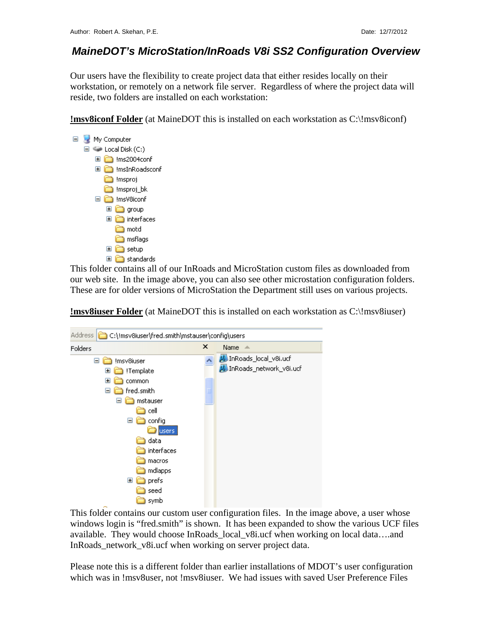## *MaineDOT's MicroStation/InRoads V8i SS2 Configuration Overview*

Our users have the flexibility to create project data that either resides locally on their workstation, or remotely on a network file server. Regardless of where the project data will reside, two folders are installed on each workstation:

**!msv8iconf Folder** (at MaineDOT this is installed on each workstation as C:\!msv8iconf)



This folder contains all of our InRoads and MicroStation custom files as downloaded from our web site. In the image above, you can also see other microstation configuration folders. These are for older versions of MicroStation the Department still uses on various projects.

**Address** C:\!msv8iuser\fred.smith\mstauser\config\users  $\mathbf{x}$ Name  $\triangle$ Folders InRoads local v8i.ucf □ nsv8iuser M. InRoads\_network\_v8i.ucf **□ □** !Template **⊞** common Fired.smith □ nstauser a cell  $\Box$  config **D**users **in data** interfaces a macros andlapps  $\Box$  prefs a seed symb

**!msv8iuser Folder** (at MaineDOT this is installed on each workstation as C:\!msv8iuser)

This folder contains our custom user configuration files. In the image above, a user whose windows login is "fred.smith" is shown. It has been expanded to show the various UCF files available. They would choose InRoads\_local\_v8i.ucf when working on local data….and InRoads network v8i.ucf when working on server project data.

Please note this is a different folder than earlier installations of MDOT's user configuration which was in !msv8user, not !msv8iuser. We had issues with saved User Preference Files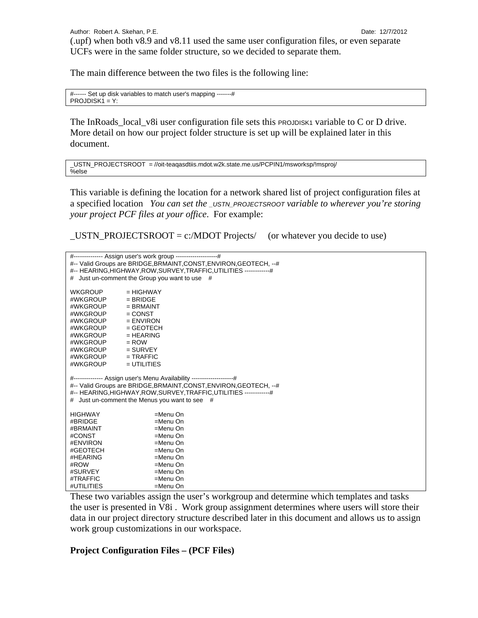The main difference between the two files is the following line:

#------ Set up disk variables to match user's mapping -------#  $PROJDISK1 = Y:$ 

The InRoads\_local\_v8i user configuration file sets this PROJDISK1 variable to C or D drive. More detail on how our project folder structure is set up will be explained later in this document.

```
_USTN_PROJECTSROOT = //oit-teaqasdtiis.mdot.w2k.state.me.us/PCPIN1/msworksp/!msproj/ 
%else
```
This variable is defining the location for a network shared list of project configuration files at a specified location *You can set the \_USTN\_PROJECTSROOT variable to wherever you're storing your project PCF files at your office*. For example:

 $_LUSTN\_PROJECTSROOT = c: /MDOT Projects/$  (or whatever you decide to use)

| #-------------- Assign user's work group --------------------#<br>#-- Valid Groups are BRIDGE, BRMAINT, CONST, ENVIRON, GEOTECH, --#<br>#-- HEARING, HIGHWAY, ROW, SURVEY, TRAFFIC, UTILITIES ------------#<br># Just un-comment the Group you want to use #        |               |  |  |
|---------------------------------------------------------------------------------------------------------------------------------------------------------------------------------------------------------------------------------------------------------------------|---------------|--|--|
| <b>WKGROUP</b>                                                                                                                                                                                                                                                      | $= HIGHWAY$   |  |  |
| #WKGROUP                                                                                                                                                                                                                                                            | $=$ BRIDGE    |  |  |
| #WKGROUP                                                                                                                                                                                                                                                            | $=$ BRMAINT   |  |  |
| #WKGROUP                                                                                                                                                                                                                                                            | $=$ CONST     |  |  |
| #WKGROUP                                                                                                                                                                                                                                                            | $=$ ENVIRON   |  |  |
| #WKGROUP                                                                                                                                                                                                                                                            | $=$ GEOTECH   |  |  |
| #WKGROUP                                                                                                                                                                                                                                                            | $= HEARING$   |  |  |
| #WKGROUP                                                                                                                                                                                                                                                            | $=$ ROW       |  |  |
| #WKGROUP                                                                                                                                                                                                                                                            | $=$ SURVEY    |  |  |
| #WKGROUP                                                                                                                                                                                                                                                            | $=$ TRAFFIC   |  |  |
| #WKGROUP                                                                                                                                                                                                                                                            | $=$ UTILITIES |  |  |
| #-------------- Assign user's Menu Availability --------------------#<br>#-- Valid Groups are BRIDGE, BRMAINT, CONST, ENVIRON, GEOTECH, --#<br>#-- HEARING, HIGHWAY, ROW, SURVEY, TRAFFIC, UTILITIES ------------#<br># Just un-comment the Menus you want to see # |               |  |  |
| <b>HIGHWAY</b>                                                                                                                                                                                                                                                      | $=$ Menu On   |  |  |
| #BRIDGE                                                                                                                                                                                                                                                             | $=$ Menu On   |  |  |
| #BRMAINT                                                                                                                                                                                                                                                            | $=$ Menu On   |  |  |
| #CONST                                                                                                                                                                                                                                                              | $=$ Menu On   |  |  |
| #ENVIRON                                                                                                                                                                                                                                                            | $=$ Menu On   |  |  |
| #GEOTECH                                                                                                                                                                                                                                                            | $=$ Menu On   |  |  |
| #HEARING                                                                                                                                                                                                                                                            | $=$ Menu On   |  |  |
| #ROW                                                                                                                                                                                                                                                                | =Menu On      |  |  |
| #SURVEY                                                                                                                                                                                                                                                             | =Menu On      |  |  |
| #TRAFFIC                                                                                                                                                                                                                                                            | =Menu On      |  |  |
| #UTILITIES                                                                                                                                                                                                                                                          | =Menu On      |  |  |

These two variables assign the user's workgroup and determine which templates and tasks the user is presented in V8i . Work group assignment determines where users will store their data in our project directory structure described later in this document and allows us to assign work group customizations in our workspace.

#### **Project Configuration Files – (PCF Files)**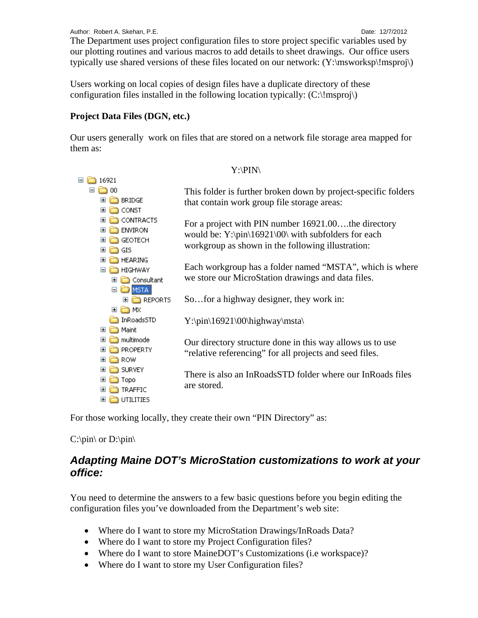Users working on local copies of design files have a duplicate directory of these configuration files installed in the following location typically:  $(C:\langle \text{msproj} \rangle)$ 

## **Project Data Files (DGN, etc.)**

Our users generally work on files that are stored on a network file storage area mapped for them as:

Y:\PIN\

| 16921<br>$=$                       |                                                                |  |
|------------------------------------|----------------------------------------------------------------|--|
| ΟO                                 | This folder is further broken down by project-specific folders |  |
| <b>BRIDGE</b>                      | that contain work group file storage areas:                    |  |
| CONST<br>田                         |                                                                |  |
| CONTRACTS<br>E                     | For a project with PIN number 16921.00the directory            |  |
| <b>ENVIRON</b><br>Ŧ                | would be: $Y:\pi\16921\00\$ with subfolders for each           |  |
| <b>GEOTECH</b><br>⊞                | workgroup as shown in the following illustration:              |  |
| GIS<br>Œ                           |                                                                |  |
| <b>HEARING</b><br>Œ                | Each workgroup has a folder named "MSTA", which is where       |  |
| <b>HIGHWAY</b><br>$\equiv$         | we store our MicroStation drawings and data files.             |  |
| Consultant<br>Œ                    |                                                                |  |
| <b>EI C</b> MSTA<br><b>REPORTS</b> |                                                                |  |
| ⊞ ich mx                           | So for a highway designer, they work in:                       |  |
| InRoadsSTD                         |                                                                |  |
| Maint<br>$\boxplus$                | $Y:\pi\16921\00\h$ ighway\msta                                 |  |
| multimode<br>Œ                     |                                                                |  |
| <b>PROPERTY</b><br>Œ               | Our directory structure done in this way allows us to use      |  |
| ROW.<br>⊞                          | "relative referencing" for all projects and seed files.        |  |
| <b>SURVEY</b><br>E                 |                                                                |  |
| Topo<br>$\pm$                      | There is also an InRoadsSTD folder where our InRoads files     |  |
| TRAFFIC<br>$\pm$                   | are stored.                                                    |  |
| UTILITIES<br>⊞                     |                                                                |  |
|                                    |                                                                |  |

For those working locally, they create their own "PIN Directory" as:

### $C:\pmb{\in}$  or  $D:\pmb{\in}$

## *Adapting Maine DOT's MicroStation customizations to work at your office:*

You need to determine the answers to a few basic questions before you begin editing the configuration files you've downloaded from the Department's web site:

- Where do I want to store my MicroStation Drawings/InRoads Data?
- Where do I want to store my Project Configuration files?
- Where do I want to store MaineDOT's Customizations (i.e workspace)?
- Where do I want to store my User Configuration files?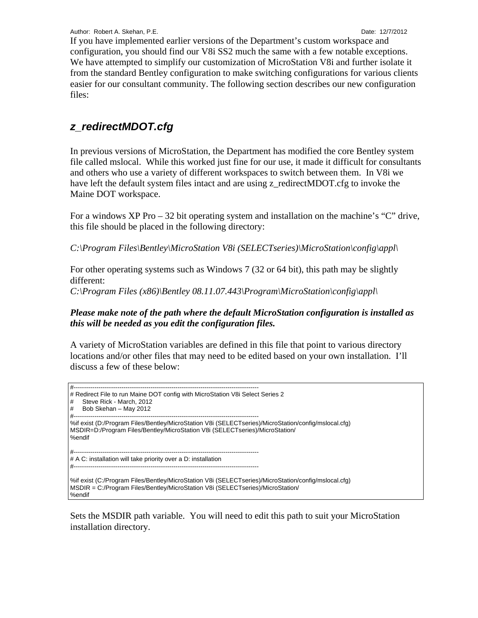Author: Robert A. Skehan, P.E. **Date: 12/7/2012** 

If you have implemented earlier versions of the Department's custom workspace and configuration, you should find our V8i SS2 much the same with a few notable exceptions. We have attempted to simplify our customization of MicroStation V8i and further isolate it from the standard Bentley configuration to make switching configurations for various clients easier for our consultant community. The following section describes our new configuration files:

# *z\_redirectMDOT.cfg*

In previous versions of MicroStation, the Department has modified the core Bentley system file called mslocal. While this worked just fine for our use, it made it difficult for consultants and others who use a variety of different workspaces to switch between them. In V8i we have left the default system files intact and are using z redirectMDOT.cfg to invoke the Maine DOT workspace.

For a windows XP Pro – 32 bit operating system and installation on the machine's "C" drive, this file should be placed in the following directory:

*C:\Program Files\Bentley\MicroStation V8i (SELECTseries)\MicroStation\config\appl\* 

For other operating systems such as Windows 7 (32 or 64 bit), this path may be slightly different:

*C:\Program Files (x86)\Bentley 08.11.07.443\Program\MicroStation\config\appl\* 

#### *Please make note of the path where the default MicroStation configuration is installed as this will be needed as you edit the configuration files.*

A variety of MicroStation variables are defined in this file that point to various directory locations and/or other files that may need to be edited based on your own installation. I'll discuss a few of these below:

```
#----------------------------------------------------------------------------------------- 
# Redirect File to run Maine DOT config with MicroStation V8i Select Series 2
# Steve Rick - March, 2012 
# Bob Skehan – May 2012 
#----------------------------------------------------------------------------------------- 
%if exist (D:/Program Files/Bentley/MicroStation V8i (SELECTseries)/MicroStation/config/mslocal.cfg) 
MSDIR=D:/Program Files/Bentley/MicroStation V8i (SELECTseries)/MicroStation/ 
%endif 
#----------------------------------------------------------------------------------------- 
# A C: installation will take priority over a D: installation 
#----------------------------------------------------------------------------------------- 
%if exist (C:/Program Files/Bentley/MicroStation V8i (SELECTseries)/MicroStation/config/mslocal.cfg) 
MSDIR = C:/Program Files/Bentley/MicroStation V8i (SELECTseries)/MicroStation/ 
%endif
```
Sets the MSDIR path variable. You will need to edit this path to suit your MicroStation installation directory.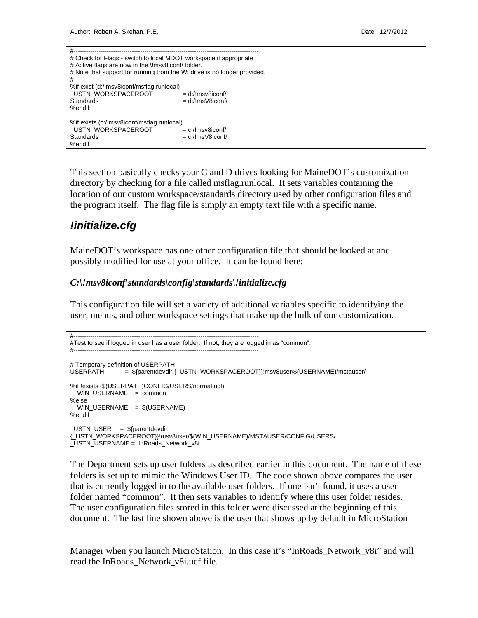| # Check for Flags - switch to local MDOT workspace if appropriate<br># Active flags are now in the \!msv8iconf\ folder.<br># Note that support for running from the W: drive is no longer provided.<br>-------------------------------<br>#-- |                                                |  |  |  |
|-----------------------------------------------------------------------------------------------------------------------------------------------------------------------------------------------------------------------------------------------|------------------------------------------------|--|--|--|
| %if exist (d:/!msv8iconf/msflag.runlocal)<br>USTN WORKSPACEROOT<br>Standards<br>%endif                                                                                                                                                        | $= d$ :/!msv8iconf/<br>$= d$ :/!ms $V8$ iconf/ |  |  |  |
| %if exists (c:/!msv8iconf/msflag.runlocal)<br>USTN WORKSPACEROOT<br>Standards<br>%endif                                                                                                                                                       | $= c$ :/!msv8iconf/<br>$= c$ :/!ms $V8$ iconf/ |  |  |  |

This section basically checks your C and D drives looking for MaineDOT's customization directory by checking for a file called msflag.runlocal. It sets variables containing the location of our custom workspace/standards directory used by other configuration files and the program itself. The flag file is simply an empty text file with a specific name.

## *!initialize.cfg*

MaineDOT's workspace has one other configuration file that should be looked at and possibly modified for use at your office. It can be found here:

#### *C:\!msv8iconf\standards\config\standards\!initialize.cfg*

This configuration file will set a variety of additional variables specific to identifying the user, menus, and other workspace settings that make up the bulk of our customization.

```
#----------------------------------------------------------------------------------------- 
#Test to see if logged in user has a user folder. If not, they are logged in as "common". 
#----------------------------------------------------------------------------------------- 
# Temporary definition of USERPATH 
USERPATH = ${parentdevdir {_USTN_WORKSPACEROOT}}!msv8user/$(USERNAME)/mstauser/ 
%if !exists ($(USERPATH)CONFIG/USERS/normal.ucf) 
  WIN_USERNAME = common
%else 
   WIN_USERNAME = $(USERNAME) 
%endif 
USTN USER = ${parentdevdir
{_USTN_WORKSPACEROOT}}!msv8user/$(WIN_USERNAME)/MSTAUSER/CONFIG/USERS/ 
_USTN_USERNAME = InRoads_Network_v8i
```
The Department sets up user folders as described earlier in this document. The name of these folders is set up to mimic the Windows User ID. The code shown above compares the user that is currently logged in to the available user folders. If one isn't found, it uses a user folder named "common". It then sets variables to identify where this user folder resides. The user configuration files stored in this folder were discussed at the beginning of this document. The last line shown above is the user that shows up by default in MicroStation

Manager when you launch MicroStation. In this case it's "InRoads\_Network\_v8i" and will read the InRoads\_Network\_v8i.ucf file.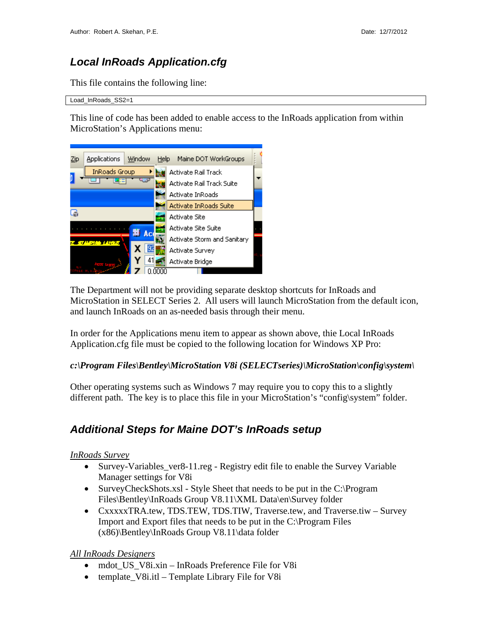# *Local InRoads Application.cfg*

This file contains the following line:

Load\_InRoads\_SS2=1

This line of code has been added to enable access to the InRoads application from within MicroStation's Applications menu:



The Department will not be providing separate desktop shortcuts for InRoads and MicroStation in SELECT Series 2. All users will launch MicroStation from the default icon, and launch InRoads on an as-needed basis through their menu.

In order for the Applications menu item to appear as shown above, thie Local InRoads Application.cfg file must be copied to the following location for Windows XP Pro:

#### *c:\Program Files\Bentley\MicroStation V8i (SELECTseries)\MicroStation\config\system\*

Other operating systems such as Windows 7 may require you to copy this to a slightly different path. The key is to place this file in your MicroStation's "config\system" folder.

## *Additional Steps for Maine DOT's InRoads setup*

#### *InRoads Survey*

- Survey-Variables\_ver8-11.reg Registry edit file to enable the Survey Variable Manager settings for V8i
- SurveyCheckShots.xsl Style Sheet that needs to be put in the C:\Program Files\Bentley\InRoads Group V8.11\XML Data\en\Survey folder
- CxxxxxTRA.tew, TDS.TEW, TDS.TIW, Traverse.tew, and Traverse.tiw Survey Import and Export files that needs to be put in the C:\Program Files (x86)\Bentley\InRoads Group V8.11\data folder

#### *All InRoads Designers*

- mdot\_US\_V8i.xin InRoads Preference File for V8i
- template V8i.itl Template Library File for V8i